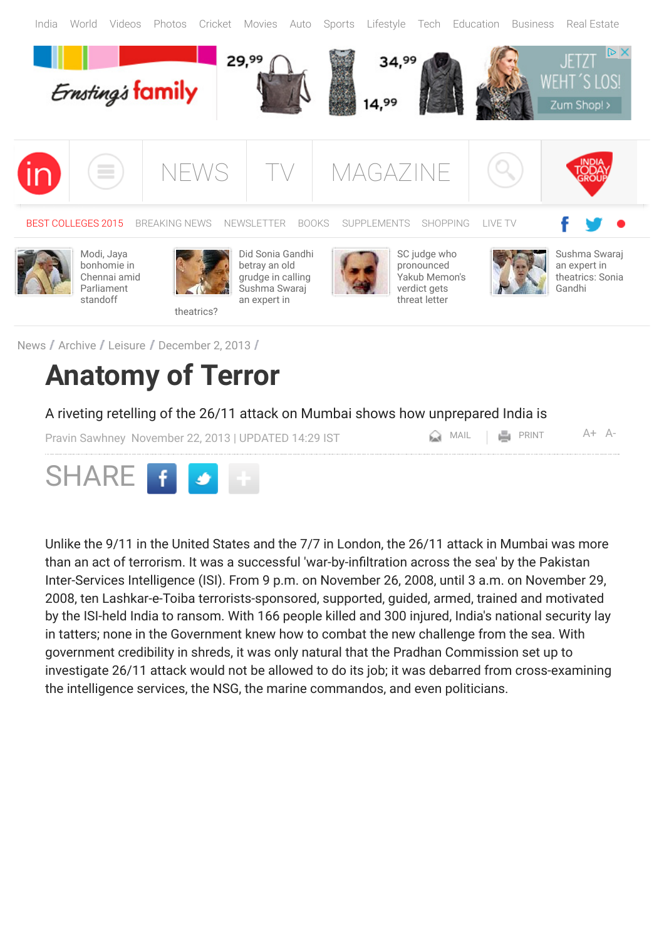

## **Anatomy of Terror**

A riveting retelling of the 26/11 attack on Mumbai shows how unprepared India is

[Pravin Sawhney](http://indiatoday.intoday.in/author/Pravin-Sawhney/1.html) November 22, 2013 | UPDATED 14:29 IST  $\Box$  MAIL | PRINT [A+](javascript:increaseFontSize();) [A-](javascript:decreaseFontSize();)



Unlike the 9/11 in the United States and the 7/7 in London, the 26/11 attack in Mumbai was more than an act of terrorism. It was a successful 'war-by-infiltration across the sea' by the Pakistan Inter-Services Intelligence (ISI). From 9 p.m. on November 26, 2008, until 3 a.m. on November 29, 2008, ten Lashkar-e-Toiba terrorists-sponsored, supported, guided, armed, trained and motivated by the ISI-held India to ransom. With 166 people killed and 300 injured, India's national security lay in tatters; none in the Government knew how to combat the new challenge from the sea. With government credibility in shreds, it was only natural that the Pradhan Commission set up to investigate 26/11 attack would not be allowed to do its job; it was debarred from cross-examining the intelligence services, the NSG, the marine commandos, and even politicians.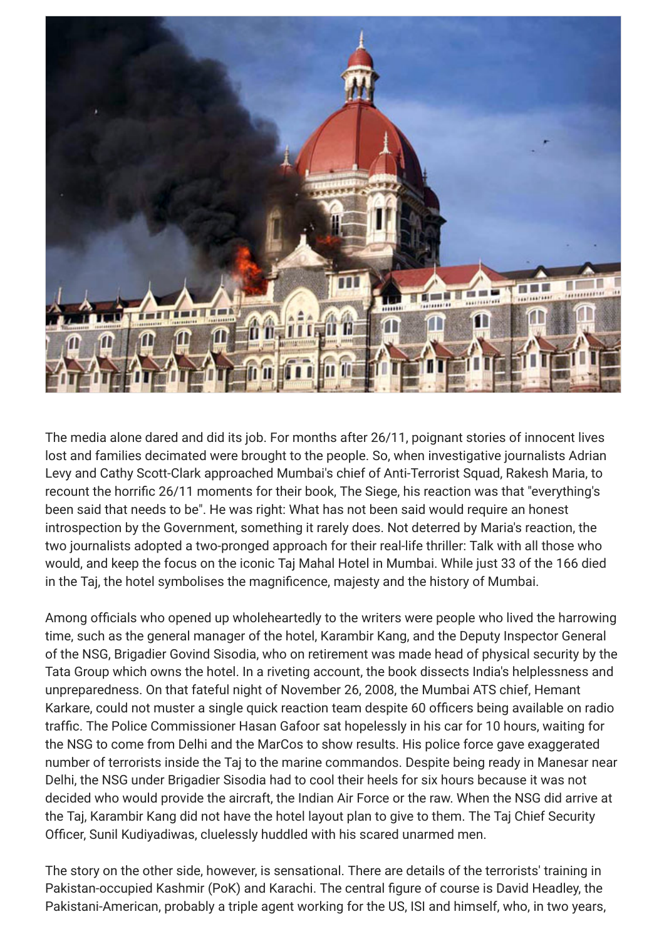

The media alone dared and did its job. For months after 26/11, poignant stories of innocent lives lost and families decimated were brought to the people. So, when investigative journalists Adrian Levy and Cathy Scott-Clark approached Mumbai's chief of Anti-Terrorist Squad, Rakesh Maria, to recount the horrific 26/11 moments for their book, The Siege, his reaction was that "everything's been said that needs to be". He was right: What has not been said would require an honest introspection by the Government, something it rarely does. Not deterred by Maria's reaction, the two journalists adopted a two-pronged approach for their real-life thriller: Talk with all those who would, and keep the focus on the iconic Taj Mahal Hotel in Mumbai. While just 33 of the 166 died in the Taj, the hotel symbolises the magnificence, majesty and the history of Mumbai.

Among officials who opened up wholeheartedly to the writers were people who lived the harrowing time, such as the general manager of the hotel, Karambir Kang, and the Deputy Inspector General of the NSG, Brigadier Govind Sisodia, who on retirement was made head of physical security by the Tata Group which owns the hotel. In a riveting account, the book dissects India's helplessness and unpreparedness. On that fateful night of November 26, 2008, the Mumbai ATS chief, Hemant Karkare, could not muster a single quick reaction team despite 60 officers being available on radio traffic. The Police Commissioner Hasan Gafoor sat hopelessly in his car for 10 hours, waiting for the NSG to come from Delhi and the MarCos to show results. His police force gave exaggerated number of terrorists inside the Taj to the marine commandos. Despite being ready in Manesar near Delhi, the NSG under Brigadier Sisodia had to cool their heels for six hours because it was not decided who would provide the aircraft, the Indian Air Force or the raw. When the NSG did arrive at the Taj, Karambir Kang did not have the hotel layout plan to give to them. The Taj Chief Security Officer, Sunil Kudiyadiwas, cluelessly huddled with his scared unarmed men.

The story on the other side, however, is sensational. There are details of the terrorists' training in Pakistan-occupied Kashmir (PoK) and Karachi. The central figure of course is David Headley, the Pakistani-American, probably a triple agent working for the US, ISI and himself, who, in two years,